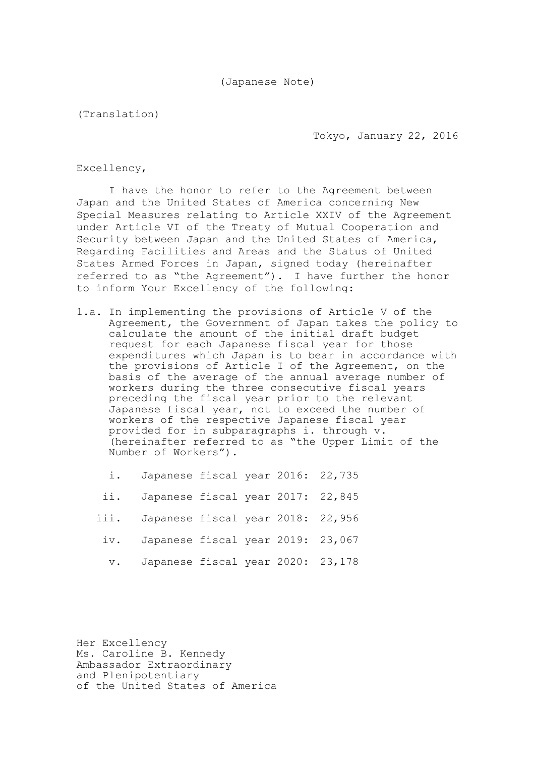(Translation)

Tokyo, January 22, 2016

Excellency,

I have the honor to refer to the Agreement between Japan and the United States of America concerning New Special Measures relating to Article XXIV of the Agreement under Article VI of the Treaty of Mutual Cooperation and Security between Japan and the United States of America, Regarding Facilities and Areas and the Status of United States Armed Forces in Japan, signed today (hereinafter referred to as "the Agreement"). I have further the honor to inform Your Excellency of the following:

- 1.a. In implementing the provisions of Article V of the Agreement, the Government of Japan takes the policy to calculate the amount of the initial draft budget request for each Japanese fiscal year for those expenditures which Japan is to bear in accordance with the provisions of Article I of the Agreement, on the basis of the average of the annual average number of workers during the three consecutive fiscal years preceding the fiscal year prior to the relevant Japanese fiscal year, not to exceed the number of workers of the respective Japanese fiscal year provided for in subparagraphs i. through v. (hereinafter referred to as "the Upper Limit of the Number of Workers").
	- i. Japanese fiscal year 2016: 22,735
	- ii. Japanese fiscal year 2017: 22,845
	- iii. Japanese fiscal year 2018: 22,956
	- iv. Japanese fiscal year 2019: 23,067
	- v. Japanese fiscal year 2020: 23,178

Her Excellency Ms. Caroline B. Kennedy Ambassador Extraordinary and Plenipotentiary of the United States of America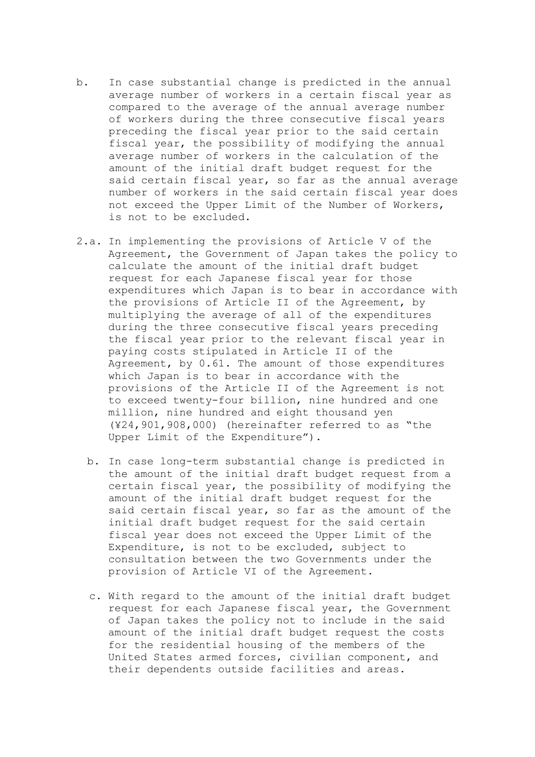- b. In case substantial change is predicted in the annual average number of workers in a certain fiscal year as compared to the average of the annual average number of workers during the three consecutive fiscal years preceding the fiscal year prior to the said certain fiscal year, the possibility of modifying the annual average number of workers in the calculation of the amount of the initial draft budget request for the said certain fiscal year, so far as the annual average number of workers in the said certain fiscal year does not exceed the Upper Limit of the Number of Workers, is not to be excluded.
- 2.a. In implementing the provisions of Article V of the Agreement, the Government of Japan takes the policy to calculate the amount of the initial draft budget request for each Japanese fiscal year for those expenditures which Japan is to bear in accordance with the provisions of Article II of the Agreement, by multiplying the average of all of the expenditures during the three consecutive fiscal years preceding the fiscal year prior to the relevant fiscal year in paying costs stipulated in Article II of the Agreement, by 0.61. The amount of those expenditures which Japan is to bear in accordance with the provisions of the Article II of the Agreement is not to exceed twenty-four billion, nine hundred and one million, nine hundred and eight thousand yen (¥24,901,908,000) (hereinafter referred to as "the Upper Limit of the Expenditure").
	- b. In case long-term substantial change is predicted in the amount of the initial draft budget request from a certain fiscal year, the possibility of modifying the amount of the initial draft budget request for the said certain fiscal year, so far as the amount of the initial draft budget request for the said certain fiscal year does not exceed the Upper Limit of the Expenditure, is not to be excluded, subject to consultation between the two Governments under the provision of Article VI of the Agreement.
	- c. With regard to the amount of the initial draft budget request for each Japanese fiscal year, the Government of Japan takes the policy not to include in the said amount of the initial draft budget request the costs for the residential housing of the members of the United States armed forces, civilian component, and their dependents outside facilities and areas.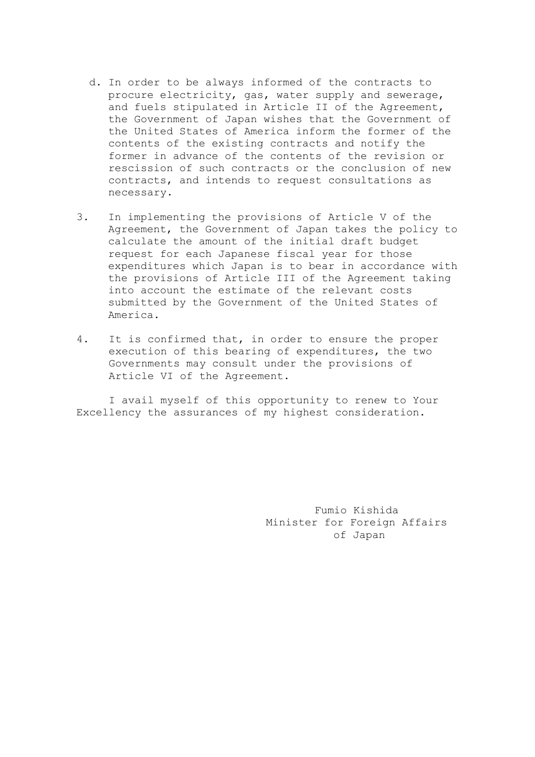- d. In order to be always informed of the contracts to procure electricity, gas, water supply and sewerage, and fuels stipulated in Article II of the Agreement, the Government of Japan wishes that the Government of the United States of America inform the former of the contents of the existing contracts and notify the former in advance of the contents of the revision or rescission of such contracts or the conclusion of new contracts, and intends to request consultations as necessary.
- 3. In implementing the provisions of Article V of the Agreement, the Government of Japan takes the policy to calculate the amount of the initial draft budget request for each Japanese fiscal year for those expenditures which Japan is to bear in accordance with the provisions of Article III of the Agreement taking into account the estimate of the relevant costs submitted by the Government of the United States of America.
- 4. It is confirmed that, in order to ensure the proper execution of this bearing of expenditures, the two Governments may consult under the provisions of Article VI of the Agreement.

I avail myself of this opportunity to renew to Your Excellency the assurances of my highest consideration.

> Fumio Kishida Minister for Foreign Affairs of Japan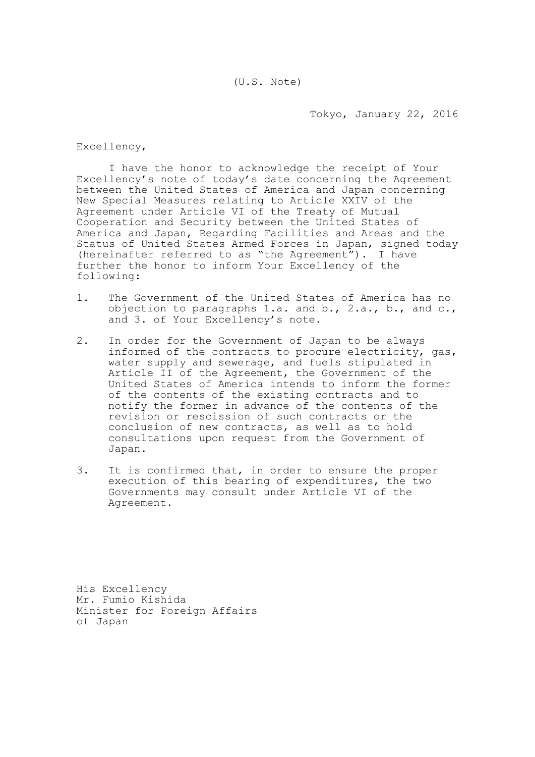Tokyo, January 22, 2016

Excellency,

I have the honor to acknowledge the receipt of Your Excellency's note of today's date concerning the Agreement between the United States of America and Japan concerning New Special Measures relating to Article XXIV of the Agreement under Article VI of the Treaty of Mutual Cooperation and Security between the United States of America and Japan, Regarding Facilities and Areas and the Status of United States Armed Forces in Japan, signed today (hereinafter referred to as "the Agreement"). I have further the honor to inform Your Excellency of the following:

- 1. The Government of the United States of America has no objection to paragraphs 1.a. and b., 2.a., b., and c., and 3. of Your Excellency's note.
- 2. In order for the Government of Japan to be always informed of the contracts to procure electricity, gas, water supply and sewerage, and fuels stipulated in Article II of the Agreement, the Government of the United States of America intends to inform the former of the contents of the existing contracts and to notify the former in advance of the contents of the revision or rescission of such contracts or the conclusion of new contracts, as well as to hold consultations upon request from the Government of Japan.
- 3. It is confirmed that, in order to ensure the proper execution of this bearing of expenditures, the two Governments may consult under Article VI of the Agreement.

His Excellency Mr. Fumio Kishida Minister for Foreign Affairs of Japan